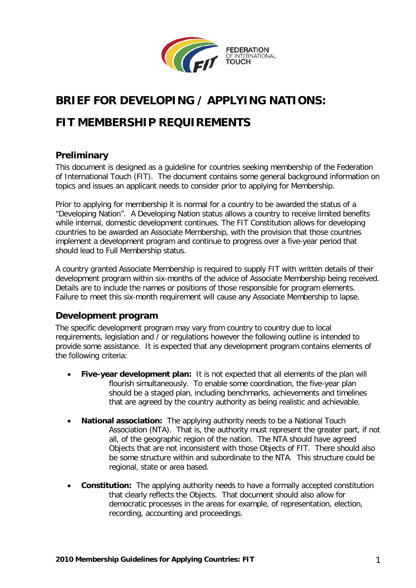

# **BRIEF FOR DEVELOPING / APPLYING NATIONS:**

## **FIT MEMBERSHIP REQUIREMENTS**

### **Preliminary**

This document is designed as a guideline for countries seeking membership of the Federation of International Touch (FIT). The document contains some general background information on topics and issues an applicant needs to consider prior to applying for Membership.

Prior to applying for membership it is normal for a country to be awarded the status of a "Developing Nation". A Developing Nation status allows a country to receive limited benefits while internal, domestic development continues. The FIT Constitution allows for developing countries to be awarded an Associate Membership, with the provision that those countries implement a development program and continue to progress over a five-year period that should lead to Full Membership status.

A country granted Associate Membership is required to supply FIT with written details of their development program within six-months of the advice of Associate Membership being received. Details are to include the names or positions of those responsible for program elements. Failure to meet this six-month requirement will cause any Associate Membership to lapse.

#### **Development program**

The specific development program may vary from country to country due to local requirements, legislation and / or regulations however the following outline is intended to provide some assistance. It is expected that any development program contains elements of the following criteria:

- **Five-year development plan:** It is not expected that all elements of the plan will flourish simultaneously. To enable some coordination, the five-year plan should be a staged plan, including benchmarks, achievements and timelines that are agreed by the country authority as being realistic and achievable.
- **National association:** The applying authority needs to be a National Touch Association (NTA). That is, the authority must represent the greater part, if not all, of the geographic region of the nation. The NTA should have agreed Objects that are not inconsistent with those Objects of FIT. There should also be some structure within and subordinate to the NTA. This structure could be regional, state or area based.
- **Constitution:** The applying authority needs to have a formally accepted constitution that clearly reflects the Objects. That document should also allow for democratic processes in the areas for example, of representation, election, recording, accounting and proceedings.